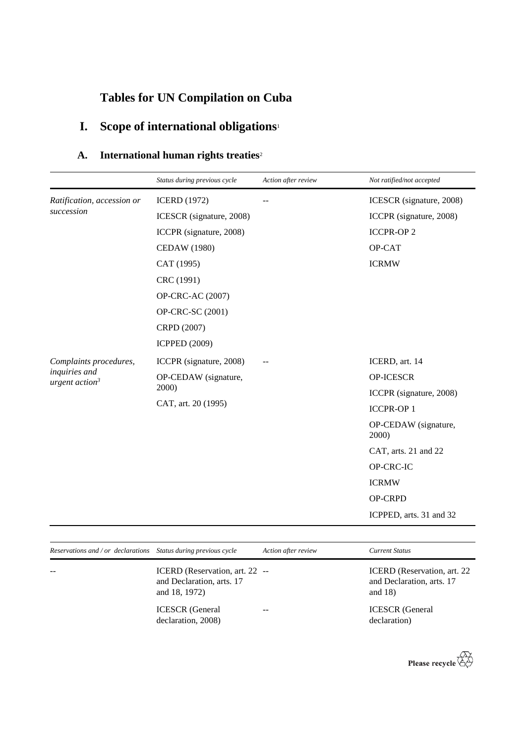# **Tables for UN Compilation on Cuba**

# **I. Scope of international obligations**<sup>1</sup>

## **A. International human rights treaties**<sup>2</sup>

|                                                                       | Status during previous cycle                         | Action after review | Not ratified/not accepted     |
|-----------------------------------------------------------------------|------------------------------------------------------|---------------------|-------------------------------|
| Ratification, accession or                                            | <b>ICERD</b> (1972)                                  |                     | ICESCR (signature, 2008)      |
| succession                                                            | ICESCR (signature, 2008)                             |                     | ICCPR (signature, 2008)       |
|                                                                       | ICCPR (signature, 2008)                              |                     | <b>ICCPR-OP2</b>              |
|                                                                       | <b>CEDAW</b> (1980)                                  |                     | OP-CAT                        |
|                                                                       | CAT (1995)                                           |                     | <b>ICRMW</b>                  |
|                                                                       | CRC (1991)                                           |                     |                               |
|                                                                       | OP-CRC-AC (2007)                                     |                     |                               |
|                                                                       | OP-CRC-SC (2001)                                     |                     |                               |
|                                                                       | CRPD (2007)                                          |                     |                               |
|                                                                       | <b>ICPPED (2009)</b>                                 |                     |                               |
| Complaints procedures,<br>inquiries and<br>urgent action <sup>3</sup> | ICCPR (signature, 2008)                              |                     | ICERD, art. 14                |
|                                                                       | OP-CEDAW (signature,<br>2000)<br>CAT, art. 20 (1995) |                     | <b>OP-ICESCR</b>              |
|                                                                       |                                                      |                     | ICCPR (signature, 2008)       |
|                                                                       |                                                      |                     | <b>ICCPR-OP1</b>              |
|                                                                       |                                                      |                     | OP-CEDAW (signature,<br>2000) |
|                                                                       |                                                      |                     | CAT, arts. 21 and 22          |
|                                                                       |                                                      |                     | OP-CRC-IC                     |
|                                                                       |                                                      |                     | <b>ICRMW</b>                  |
|                                                                       |                                                      |                     | OP-CRPD                       |
|                                                                       |                                                      |                     | ICPPED, arts. 31 and 32       |
|                                                                       |                                                      |                     |                               |

| Reservations and / or declarations Status during previous cycle |                                                                              | Action after review | <b>Current Status</b>                                                   |
|-----------------------------------------------------------------|------------------------------------------------------------------------------|---------------------|-------------------------------------------------------------------------|
| $- -$                                                           | ICERD (Reservation, art. 22 --<br>and Declaration, arts. 17<br>and 18, 1972) |                     | ICERD (Reservation, art. 22)<br>and Declaration, arts. 17<br>and $18$ ) |
|                                                                 | <b>ICESCR</b> (General<br>declaration, 2008)                                 |                     | <b>ICESCR</b> (General<br>declaration)                                  |

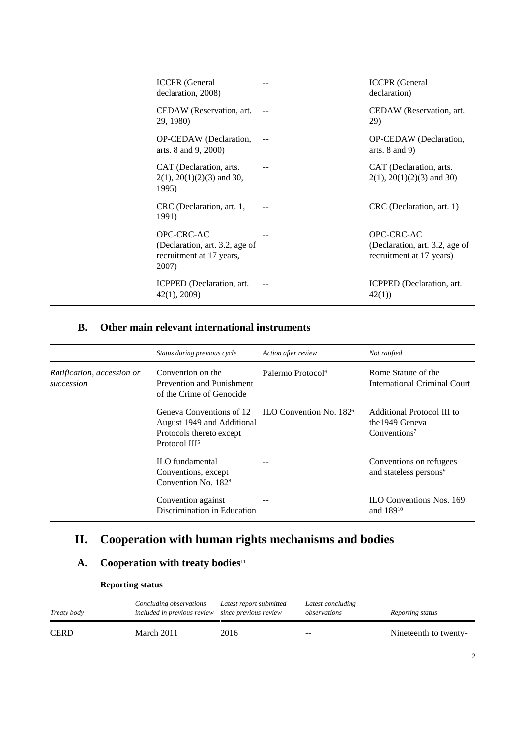| <b>ICCPR</b> (General<br>declaration, 2008)                                       | <b>ICCPR</b> (General<br>declaration)                                    |
|-----------------------------------------------------------------------------------|--------------------------------------------------------------------------|
| CEDAW (Reservation, art.<br>29, 1980)                                             | CEDAW (Reservation, art.<br>29)                                          |
| OP-CEDAW (Declaration,<br>arts. 8 and 9, 2000)                                    | OP-CEDAW (Declaration,<br>arts. $8$ and $9$ )                            |
| CAT (Declaration, arts.<br>$2(1)$ , $20(1)(2)(3)$ and 30,<br>1995)                | CAT (Declaration, arts.<br>$2(1)$ , $20(1)(2)(3)$ and 30)                |
| CRC (Declaration, art. 1,<br>1991)                                                | CRC (Declaration, art. 1)                                                |
| OPC-CRC-AC<br>(Declaration, art. 3.2, age of<br>recruitment at 17 years,<br>2007) | OPC-CRC-AC<br>(Declaration, art. 3.2, age of<br>recruitment at 17 years) |
| ICPPED (Declaration, art.<br>42(1), 2009                                          | ICPPED (Declaration, art.<br>42(1)                                       |

### **B. Other main relevant international instruments**

|                                          | Status during previous cycle                                                                                    | Action after review                 | Not ratified                                                              |
|------------------------------------------|-----------------------------------------------------------------------------------------------------------------|-------------------------------------|---------------------------------------------------------------------------|
| Ratification, accession or<br>succession | Convention on the<br>Prevention and Punishment<br>of the Crime of Genocide                                      | Palermo Protocol <sup>4</sup>       | Rome Statute of the<br>International Criminal Court                       |
|                                          | Geneva Conventions of 12<br>August 1949 and Additional<br>Protocols thereto except<br>Protocol III <sup>5</sup> | ILO Convention No. 182 <sup>6</sup> | Additional Protocol III to<br>the 1949 Geneva<br>Conventions <sup>7</sup> |
|                                          | <b>ILO</b> fundamental<br>Conventions, except<br>Convention No. 182 <sup>8</sup>                                |                                     | Conventions on refugees<br>and stateless persons <sup>9</sup>             |
|                                          | Convention against<br>Discrimination in Education                                                               |                                     | <b>ILO Conventions Nos. 169</b><br>and 189 <sup>10</sup>                  |

## **II. Cooperation with human rights mechanisms and bodies**

### **A. Cooperation with treaty bodies**<sup>11</sup>

| <i>Treaty body</i> | Concluding observations<br>included in previous review since previous review | Latest report submitted | Latest concluding<br>observations | Reporting status      |
|--------------------|------------------------------------------------------------------------------|-------------------------|-----------------------------------|-----------------------|
| <b>CERD</b>        | March 2011                                                                   | 2016                    | --                                | Nineteenth to twenty- |

#### **Reporting status**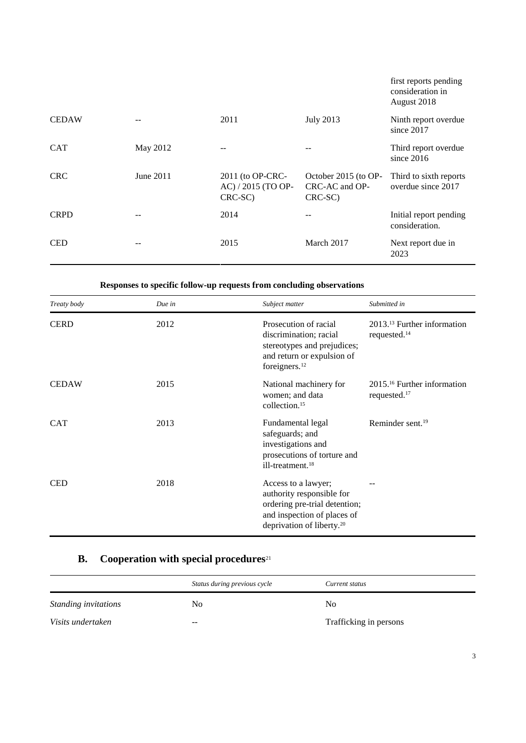|              |           |                                                   |                                                   | first reports pending<br>consideration in<br>August 2018 |
|--------------|-----------|---------------------------------------------------|---------------------------------------------------|----------------------------------------------------------|
| <b>CEDAW</b> |           | 2011                                              | <b>July 2013</b>                                  | Ninth report overdue<br>since 2017                       |
| <b>CAT</b>   | May 2012  | $- -$                                             |                                                   | Third report overdue<br>since $2016$                     |
| <b>CRC</b>   | June 2011 | 2011 (to OP-CRC-<br>AC) / 2015 (TO OP-<br>CRC-SC) | October 2015 (to OP-<br>CRC-AC and OP-<br>CRC-SC) | Third to sixth reports<br>overdue since 2017             |
| <b>CRPD</b>  |           | 2014                                              |                                                   | Initial report pending<br>consideration.                 |
| <b>CED</b>   |           | 2015                                              | March 2017                                        | Next report due in<br>2023                               |

**Responses to specific follow-up requests from concluding observations**

| Treaty body  | Due in | Subject matter                                                                                                                                            | Submitted in                                             |
|--------------|--------|-----------------------------------------------------------------------------------------------------------------------------------------------------------|----------------------------------------------------------|
| <b>CERD</b>  | 2012   | Prosecution of racial<br>discrimination; racial<br>stereotypes and prejudices;<br>and return or expulsion of<br>foreigners. <sup>12</sup>                 | $201313$ Further information<br>requested. <sup>14</sup> |
| <b>CEDAW</b> | 2015   | National machinery for<br>women; and data<br>collection. <sup>15</sup>                                                                                    | $201516$ Further information<br>requested. <sup>17</sup> |
| <b>CAT</b>   | 2013   | Fundamental legal<br>safeguards; and<br>investigations and<br>prosecutions of torture and<br>ill-treatment. <sup>18</sup>                                 | Reminder sent. <sup>19</sup>                             |
| <b>CED</b>   | 2018   | Access to a lawyer;<br>authority responsible for<br>ordering pre-trial detention;<br>and inspection of places of<br>deprivation of liberty. <sup>20</sup> |                                                          |

## **B. Cooperation with special procedures**<sup>21</sup>

|                      | Status during previous cycle | Current status         |
|----------------------|------------------------------|------------------------|
| Standing invitations | No.                          | No.                    |
| Visits undertaken    | $- -$                        | Trafficking in persons |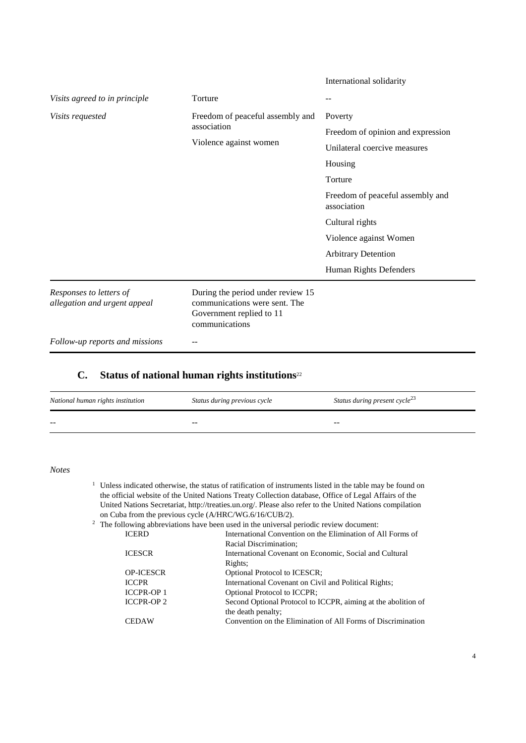|                                                         |                                                                                                                  | International solidarity                        |
|---------------------------------------------------------|------------------------------------------------------------------------------------------------------------------|-------------------------------------------------|
| Visits agreed to in principle                           | Torture                                                                                                          | $ -$                                            |
| Visits requested                                        | Freedom of peaceful assembly and                                                                                 | Poverty                                         |
|                                                         | association                                                                                                      | Freedom of opinion and expression               |
|                                                         | Violence against women                                                                                           | Unilateral coercive measures                    |
|                                                         |                                                                                                                  | Housing                                         |
|                                                         |                                                                                                                  | Torture                                         |
|                                                         |                                                                                                                  | Freedom of peaceful assembly and<br>association |
|                                                         |                                                                                                                  | Cultural rights                                 |
|                                                         |                                                                                                                  | Violence against Women                          |
|                                                         |                                                                                                                  | <b>Arbitrary Detention</b>                      |
|                                                         |                                                                                                                  | Human Rights Defenders                          |
| Responses to letters of<br>allegation and urgent appeal | During the period under review 15<br>communications were sent. The<br>Government replied to 11<br>communications |                                                 |
| Follow-up reports and missions                          |                                                                                                                  |                                                 |

#### **C. Status of national human rights institutions**<sup>22</sup>

| National human rights institution | Status during previous cycle | Status during present cycle <sup>23</sup> |
|-----------------------------------|------------------------------|-------------------------------------------|
| $- -$                             | $- -$                        | --                                        |

*Notes*

<sup>1</sup> Unless indicated otherwise, the status of ratification of instruments listed in the table may be found on the official website of the United Nations Treaty Collection database, Office of Legal Affairs of the United Nations Secretariat, http://treaties.un.org/. Please also refer to the United Nations compilation on Cuba from the previous cycle (A/HRC/WG.6/16/CUB/2).

<sup>2</sup> The following abbreviations have been used in the universal periodic review document:

| <b>ICERD</b>     | International Convention on the Elimination of All Forms of   |
|------------------|---------------------------------------------------------------|
|                  | Racial Discrimination;                                        |
| <b>ICESCR</b>    | International Covenant on Economic, Social and Cultural       |
|                  | Rights:                                                       |
| <b>OP-ICESCR</b> | Optional Protocol to ICESCR;                                  |
| <b>ICCPR</b>     | International Covenant on Civil and Political Rights;         |
| <b>ICCPR-OP1</b> | Optional Protocol to ICCPR;                                   |
| <b>ICCPR-OP2</b> | Second Optional Protocol to ICCPR, aiming at the abolition of |
|                  | the death penalty;                                            |
| <b>CEDAW</b>     | Convention on the Elimination of All Forms of Discrimination  |
|                  |                                                               |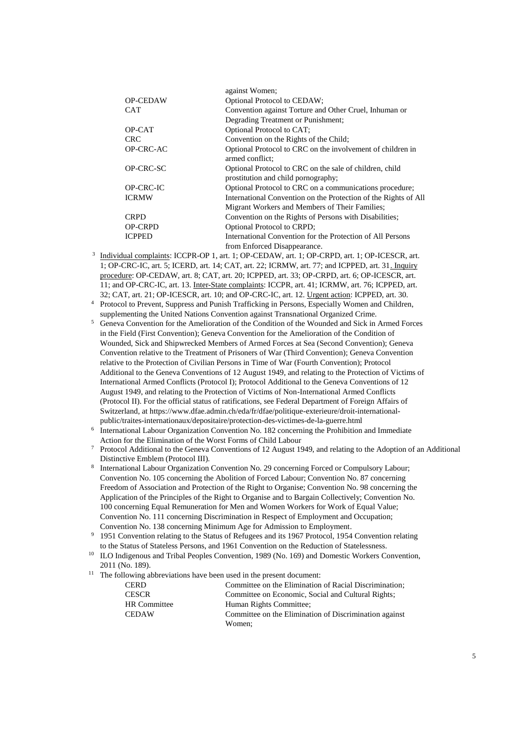|                 | against Women;                                                  |
|-----------------|-----------------------------------------------------------------|
| <b>OP-CEDAW</b> | <b>Optional Protocol to CEDAW;</b>                              |
| <b>CAT</b>      | Convention against Torture and Other Cruel, Inhuman or          |
|                 | Degrading Treatment or Punishment;                              |
| OP-CAT          | Optional Protocol to CAT;                                       |
| CRC.            | Convention on the Rights of the Child;                          |
| OP-CRC-AC       | Optional Protocol to CRC on the involvement of children in      |
|                 | armed conflict:                                                 |
| OP-CRC-SC       | Optional Protocol to CRC on the sale of children, child         |
|                 | prostitution and child pornography;                             |
| OP-CRC-IC       | Optional Protocol to CRC on a communications procedure;         |
| <b>ICRMW</b>    | International Convention on the Protection of the Rights of All |
|                 | Migrant Workers and Members of Their Families;                  |
| <b>CRPD</b>     | Convention on the Rights of Persons with Disabilities;          |
| <b>OP-CRPD</b>  | Optional Protocol to CRPD;                                      |
| <b>ICPPED</b>   | International Convention for the Protection of All Persons      |
|                 | from Enforced Disappearance.                                    |

- 3 Individual complaints: ICCPR-OP 1, art. 1; OP-CEDAW, art. 1; OP-CRPD, art. 1; OP-ICESCR, art. 1; OP-CRC-IC, art. 5; ICERD, art. 14; CAT, art. 22; ICRMW, art. 77; and ICPPED, art. 31. Inquiry procedure: OP-CEDAW, art. 8; CAT, art. 20; ICPPED, art. 33; OP-CRPD, art. 6; OP-ICESCR, art. 11; and OP-CRC-IC, art. 13. Inter-State complaints: ICCPR, art. 41; ICRMW, art. 76; ICPPED, art. 32; CAT, art. 21; OP-ICESCR, art. 10; and OP-CRC-IC, art. 12. Urgent action: ICPPED, art. 30.
- <sup>4</sup> Protocol to Prevent, Suppress and Punish Trafficking in Persons, Especially Women and Children, supplementing the United Nations Convention against Transnational Organized Crime.
- <sup>5</sup> Geneva Convention for the Amelioration of the Condition of the Wounded and Sick in Armed Forces in the Field (First Convention); Geneva Convention for the Amelioration of the Condition of Wounded, Sick and Shipwrecked Members of Armed Forces at Sea (Second Convention); Geneva Convention relative to the Treatment of Prisoners of War (Third Convention); Geneva Convention relative to the Protection of Civilian Persons in Time of War (Fourth Convention); Protocol Additional to the Geneva Conventions of 12 August 1949, and relating to the Protection of Victims of International Armed Conflicts (Protocol I); Protocol Additional to the Geneva Conventions of 12 August 1949, and relating to the Protection of Victims of Non-International Armed Conflicts (Protocol II). For the official status of ratifications, see Federal Department of Foreign Affairs of Switzerland, at https://www.dfae.admin.ch/eda/fr/dfae/politique-exterieure/droit-internationalpublic/traites-internationaux/depositaire/protection-des-victimes-de-la-guerre.html
- 6 International Labour Organization Convention No. 182 concerning the Prohibition and Immediate Action for the Elimination of the Worst Forms of Child Labour
- <sup>7</sup> Protocol Additional to the Geneva Conventions of 12 August 1949, and relating to the Adoption of an Additional Distinctive Emblem (Protocol III).
- 8 International Labour Organization Convention No. 29 concerning Forced or Compulsory Labour; Convention No. 105 concerning the Abolition of Forced Labour; Convention No. 87 concerning Freedom of Association and Protection of the Right to Organise; Convention No. 98 concerning the Application of the Principles of the Right to Organise and to Bargain Collectively; Convention No. 100 concerning Equal Remuneration for Men and Women Workers for Work of Equal Value; Convention No. 111 concerning Discrimination in Respect of Employment and Occupation; Convention No. 138 concerning Minimum Age for Admission to Employment.
- <sup>9</sup> 1951 Convention relating to the Status of Refugees and its 1967 Protocol, 1954 Convention relating to the Status of Stateless Persons, and 1961 Convention on the Reduction of Statelessness.
- <sup>10</sup> ILO Indigenous and Tribal Peoples Convention, 1989 (No. 169) and Domestic Workers Convention, 2011 (No. 189).
- <sup>11</sup> The following abbreviations have been used in the present document:

| <b>CERD</b>         | Committee on the Elimination of Racial Discrimination: |
|---------------------|--------------------------------------------------------|
| <b>CESCR</b>        | Committee on Economic, Social and Cultural Rights;     |
| <b>HR</b> Committee | Human Rights Committee;                                |
| <b>CEDAW</b>        | Committee on the Elimination of Discrimination against |
|                     | Women:                                                 |